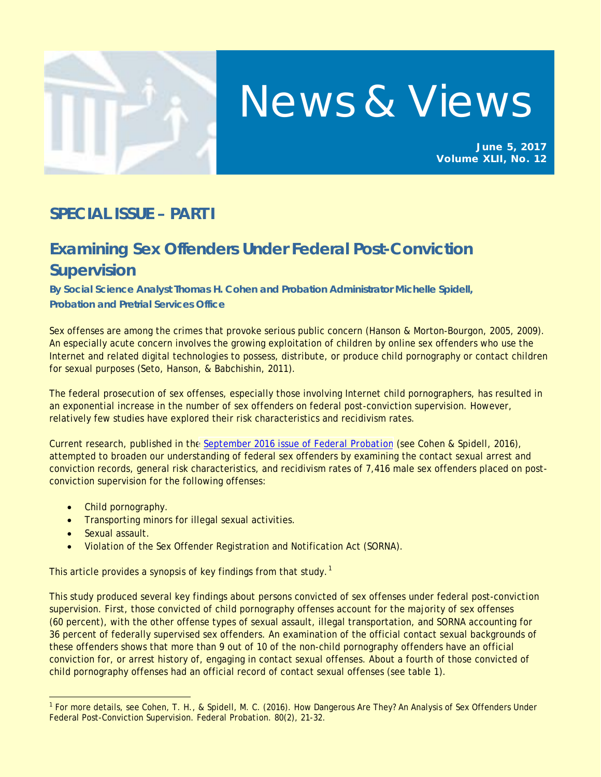

# News & Views

**June 5, 2017 Volume XLII, No. 12**

# **SPECIAL ISSUE – PART I**

# **Examining Sex Offenders Under Federal Post-Conviction Supervision**

**By Social Science Analyst Thomas H. Cohen and Probation Administrator Michelle Spidell, Probation and Pretrial Services Office**

Sex offenses are among the crimes that provoke serious public concern (Hanson & Morton-Bourgon, 2005, 2009). An especially acute concern involves the growing exploitation of children by online sex offenders who use the Internet and related digital technologies to possess, distribute, or produce child pornography or contact children for sexual purposes (Seto, Hanson, & Babchishin, 2011).

The federal prosecution of sex offenses, especially those involving Internet child pornographers, has resulted in an exponential increase in the number of sex offenders on federal post-conviction supervision. However, relatively few studies have explored their risk characteristics and recidivism rates.

Current research, published in th[e September 2016 issue of](http://www.uscourts.gov/statistics-reports/publications/federal-probation-journal/federal-probation-journal-september-2016) *Federal Probation* (see Cohen & Spidell, 2016), attempted to broaden our understanding of federal sex offenders by examining the contact sexual arrest and conviction records, general risk characteristics, and recidivism rates of 7,416 male sex offenders placed on postconviction supervision for the following offenses:

- Child pornography.
- Transporting minors for illegal sexual activities.
- Sexual assault.

l

• Violation of the Sex Offender Registration and Notification Act (SORNA).

This article provides a synopsis of key findings from that study.<sup>[1](#page-0-0)</sup>

This study produced several key findings about persons convicted of sex offenses under federal post-conviction supervision. First, those convicted of child pornography offenses account for the majority of sex offenses (60 percent), with the other offense types of sexual assault, illegal transportation, and SORNA accounting for 36 percent of federally supervised sex offenders. An examination of the official contact sexual backgrounds of these offenders shows that more than 9 out of 10 of the non-child pornography offenders have an official conviction for, or arrest history of, engaging in contact sexual offenses. About a fourth of those convicted of child pornography offenses had an official record of contact sexual offenses (see table 1).

<span id="page-0-0"></span><sup>&</sup>lt;sup>1</sup> For more details, see Cohen, T. H., & Spidell, M. C. (2016). How Dangerous Are They? An Analysis of Sex Offenders Under Federal Post-Conviction Supervision. *Federal Probation. 80*(2)*,* 21-32.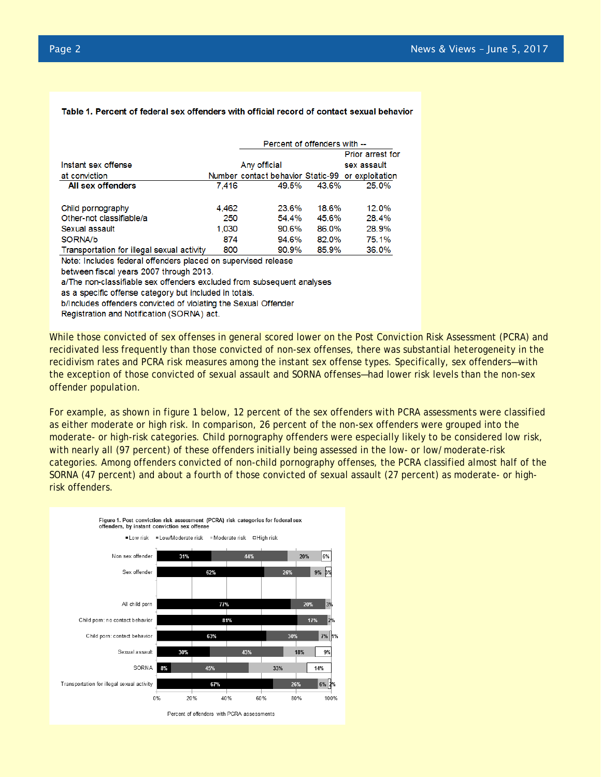## Table 1. Percent of federal sex offenders with official record of contact sexual behavior

|                                            |       | Percent of offenders with --                      |             |                         |  |
|--------------------------------------------|-------|---------------------------------------------------|-------------|-------------------------|--|
|                                            |       |                                                   |             | <b>Prior arrest for</b> |  |
| Instant sex offense                        |       | Any official                                      | sex assault |                         |  |
| at conviction                              |       | Number contact behavior Static-99 or exploitation |             |                         |  |
| All sex offenders                          | 7.416 | 49.5%                                             | 43.6%       | 25.0%                   |  |
| Child pornography                          | 4.462 | 23.6%                                             | 18.6%       | 12.0%                   |  |
| Other-not classifiable/a                   | 250   | 54.4%                                             | 45.6%       | 28.4%                   |  |
| Sexual assault                             | 1,030 | 90.6%                                             | 86.0%       | 28.9%                   |  |
| SORNA/b                                    | 874   | 94.6%                                             | 82.0%       | 75.1%                   |  |
| Transportation for illegal sexual activity | 800   | 90.9%                                             | 85.9%       | 36.0%                   |  |

Note: Includes federal offenders placed on supervised release

between fiscal years 2007 through 2013.

a/The non-classifiable sex offenders excluded from subsequent analyses

as a specific offense category but included in totals.

b/Includes offenders convicted of violating the Sexual Offender

Registration and Notification (SORNA) act.

While those convicted of sex offenses in general scored lower on the Post Conviction Risk Assessment (PCRA) and recidivated less frequently than those convicted of non-sex offenses, there was substantial heterogeneity in the recidivism rates and PCRA risk measures among the instant sex offense types. Specifically, sex offenders—with the exception of those convicted of sexual assault and SORNA offenses—had lower risk levels than the non-sex offender population.

For example, as shown in figure 1 below, 12 percent of the sex offenders with PCRA assessments were classified as either moderate or high risk. In comparison, 26 percent of the non-sex offenders were grouped into the moderate- or high-risk categories. Child pornography offenders were especially likely to be considered low risk, with nearly all (97 percent) of these offenders initially being assessed in the low- or low/moderate-risk categories. Among offenders convicted of non-child pornography offenses, the PCRA classified almost half of the SORNA (47 percent) and about a fourth of those convicted of sexual assault (27 percent) as moderate- or highrisk offenders.

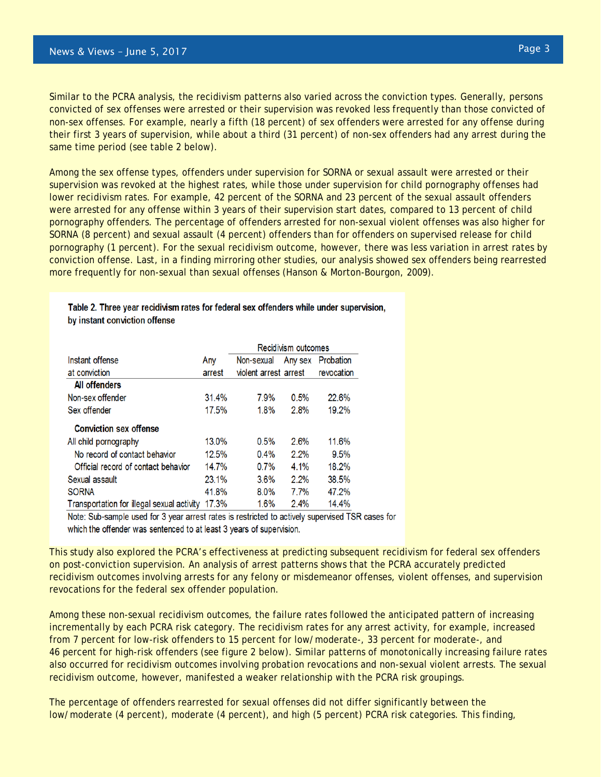Similar to the PCRA analysis, the recidivism patterns also varied across the conviction types. Generally, persons convicted of sex offenses were arrested or their supervision was revoked less frequently than those convicted of non-sex offenses. For example, nearly a fifth (18 percent) of sex offenders were arrested for any offense during their first 3 years of supervision, while about a third (31 percent) of non-sex offenders had any arrest during the same time period (see table 2 below).

Among the sex offense types, offenders under supervision for SORNA or sexual assault were arrested or their supervision was revoked at the highest rates, while those under supervision for child pornography offenses had lower recidivism rates. For example, 42 percent of the SORNA and 23 percent of the sexual assault offenders were arrested for any offense within 3 years of their supervision start dates, compared to 13 percent of child pornography offenders. The percentage of offenders arrested for non-sexual violent offenses was also higher for SORNA (8 percent) and sexual assault (4 percent) offenders than for offenders on supervised release for child pornography (1 percent). For the sexual recidivism outcome, however, there was less variation in arrest rates by conviction offense. Last, in a finding mirroring other studies, our analysis showed sex offenders being rearrested more frequently for non-sexual than sexual offenses (Hanson & Morton-Bourgon, 2009).

|                                            |        | Recidivism outcomes   |         |            |
|--------------------------------------------|--------|-----------------------|---------|------------|
| Instant offense                            | Any    | Non-sexual            | Any sex | Probation  |
| at conviction                              | arrest | violent arrest arrest |         | revocation |
| All offenders                              |        |                       |         |            |
| Non-sex offender                           | 31.4%  | 7.9%                  | 0.5%    | 22.6%      |
| Sex offender                               | 17.5%  | 1.8%                  | 2.8%    | 19.2%      |
| <b>Conviction sex offense</b>              |        |                       |         |            |
| All child pornography                      | 13.0%  | 0.5%                  | 2.6%    | 11.6%      |
| No record of contact behavior              | 12.5%  | $0.4\%$               | 2.2%    | 9.5%       |
| Official record of contact behavior        | 14.7%  | $0.7\%$               | $4.1\%$ | 18.2%      |
| Sexual assault                             | 23.1%  | $3.6\%$               | 2.2%    | 38.5%      |
| <b>SORNA</b>                               | 41.8%  | $8.0\%$               | 7.7%    | 47.2%      |
| Transportation for illegal sexual activity | 17.3%  | 1.6%                  | 2.4%    | 14.4%      |

Table 2. Three year recidivism rates for federal sex offenders while under supervision, by instant conviction offense

Note: Sub-sample used for 3 year arrest rates is restricted to actively supervised TSR cases for which the offender was sentenced to at least 3 years of supervision.

This study also explored the PCRA's effectiveness at predicting subsequent recidivism for federal sex offenders on post-conviction supervision. An analysis of arrest patterns shows that the PCRA accurately predicted recidivism outcomes involving arrests for any felony or misdemeanor offenses, violent offenses, and supervision revocations for the federal sex offender population.

Among these non-sexual recidivism outcomes, the failure rates followed the anticipated pattern of increasing incrementally by each PCRA risk category. The recidivism rates for any arrest activity, for example, increased from 7 percent for low-risk offenders to 15 percent for low/moderate-, 33 percent for moderate-, and 46 percent for high-risk offenders (see figure 2 below). Similar patterns of monotonically increasing failure rates also occurred for recidivism outcomes involving probation revocations and non-sexual violent arrests. The sexual recidivism outcome, however, manifested a weaker relationship with the PCRA risk groupings.

The percentage of offenders rearrested for sexual offenses did not differ significantly between the low/moderate (4 percent), moderate (4 percent), and high (5 percent) PCRA risk categories. This finding,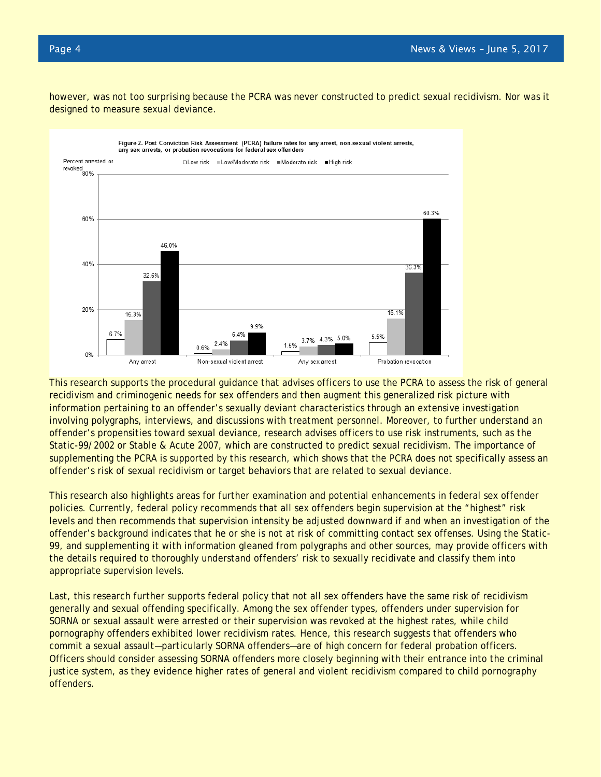however, was not too surprising because the PCRA was never constructed to predict sexual recidivism. Nor was it designed to measure sexual deviance.



This research supports the procedural guidance that advises officers to use the PCRA to assess the risk of general recidivism and criminogenic needs for sex offenders and then augment this generalized risk picture with information pertaining to an offender's sexually deviant characteristics through an extensive investigation involving polygraphs, interviews, and discussions with treatment personnel. Moreover, to further understand an offender's propensities toward sexual deviance, research advises officers to use risk instruments, such as the Static-99/2002 or Stable & Acute 2007, which are constructed to predict sexual recidivism. The importance of supplementing the PCRA is supported by this research, which shows that the PCRA does not specifically assess an offender's risk of sexual recidivism or target behaviors that are related to sexual deviance.

This research also highlights areas for further examination and potential enhancements in federal sex offender policies. Currently, federal policy recommends that all sex offenders begin supervision at the "highest" risk levels and then recommends that supervision intensity be adjusted downward if and when an investigation of the offender's background indicates that he or she is not at risk of committing contact sex offenses. Using the Static-99, and supplementing it with information gleaned from polygraphs and other sources, may provide officers with the details required to thoroughly understand offenders' risk to sexually recidivate and classify them into appropriate supervision levels.

Last, this research further supports federal policy that not all sex offenders have the same risk of recidivism generally and sexual offending specifically. Among the sex offender types, offenders under supervision for SORNA or sexual assault were arrested or their supervision was revoked at the highest rates, while child pornography offenders exhibited lower recidivism rates. Hence, this research suggests that offenders who commit a sexual assault—particularly SORNA offenders—are of high concern for federal probation officers. Officers should consider assessing SORNA offenders more closely beginning with their entrance into the criminal justice system, as they evidence higher rates of general and violent recidivism compared to child pornography offenders.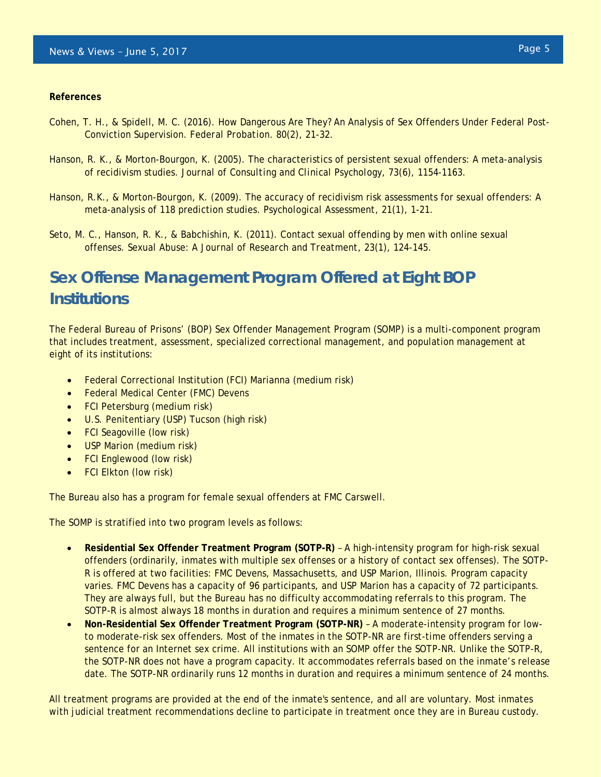## **References**

- Cohen, T. H., & Spidell, M. C. (2016). How Dangerous Are They? An Analysis of Sex Offenders Under Federal Post-Conviction Supervision. *Federal Probation. 80*(2)*,* 21-32.
- Hanson, R. K., & Morton-Bourgon, K. (2005). The characteristics of persistent sexual offenders: A meta-analysis of recidivism studies. *Journal of Consulting and Clinical Psychology, 73*(6), 1154-1163.
- Hanson, R.K., & Morton-Bourgon, K. (2009). The accuracy of recidivism risk assessments for sexual offenders: A meta-analysis of 118 prediction studies. *Psychological Assessment, 21*(1), 1-21.
- Seto, M. C., Hanson, R. K., & Babchishin, K. (2011). Contact sexual offending by men with online sexual offenses. *Sexual Abuse: A Journal of Research and Treatment, 23*(1), 124-145.

# **Sex Offense Management Program Offered at Eight BOP Institutions**

The Federal Bureau of Prisons' (BOP) Sex Offender Management Program (SOMP) is a multi-component program that includes treatment, assessment, specialized correctional management, and population management at eight of its institutions:

- Federal Correctional Institution (FCI) Marianna (medium risk)
- Federal Medical Center (FMC) Devens
- FCI Petersburg (medium risk)
- U.S. Penitentiary (USP) Tucson (high risk)
- FCI Seagoville (low risk)
- USP Marion (medium risk)
- FCI Englewood (low risk)
- FCI Elkton (low risk)

The Bureau also has a program for female sexual offenders at FMC Carswell.

The SOMP is stratified into two program levels as follows:

- **Residential Sex Offender Treatment Program (SOTP-R)** A high-intensity program for high-risk sexual offenders (ordinarily, inmates with multiple sex offenses or a history of contact sex offenses). The SOTP-R is offered at two facilities: FMC Devens, Massachusetts, and USP Marion, Illinois. Program capacity varies. FMC Devens has a capacity of 96 participants, and USP Marion has a capacity of 72 participants. They are always full, but the Bureau has no difficulty accommodating referrals to this program. The SOTP-R is almost always 18 months in duration and requires a minimum sentence of 27 months.
- **Non-Residential Sex Offender Treatment Program (SOTP-NR)** A moderate-intensity program for lowto moderate-risk sex offenders. Most of the inmates in the SOTP-NR are first-time offenders serving a sentence for an Internet sex crime. All institutions with an SOMP offer the SOTP-NR. Unlike the SOTP-R, the SOTP-NR does not have a program capacity. It accommodates referrals based on the inmate's release date. The SOTP-NR ordinarily runs 12 months in duration and requires a minimum sentence of 24 months.

All treatment programs are provided at the end of the inmate's sentence, and all are voluntary. Most inmates with judicial treatment recommendations decline to participate in treatment once they are in Bureau custody.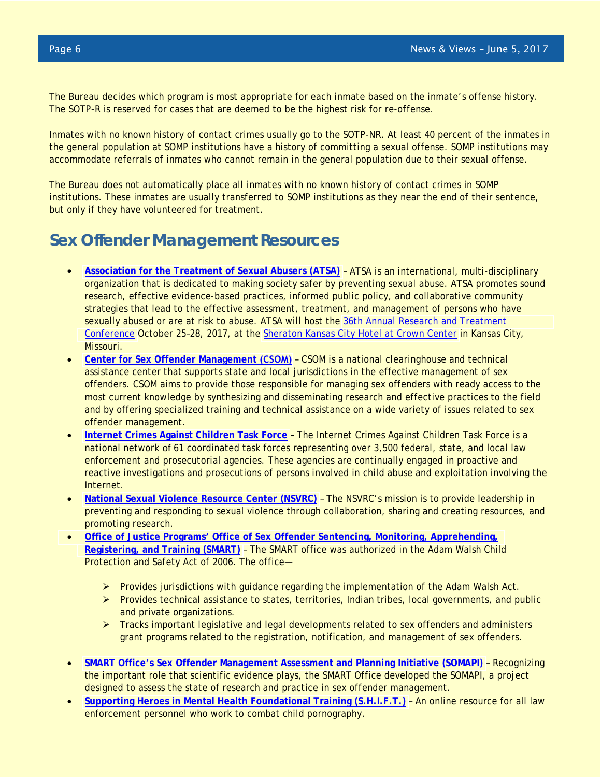The Bureau decides which program is most appropriate for each inmate based on the inmate's offense history. The SOTP-R is reserved for cases that are deemed to be the highest risk for re-offense.

Inmates with no known history of contact crimes usually go to the SOTP-NR. At least 40 percent of the inmates in the general population at SOMP institutions have a history of committing a sexual offense. SOMP institutions may accommodate referrals of inmates who cannot remain in the general population due to their sexual offense.

The Bureau does not automatically place all inmates with no known history of contact crimes in SOMP institutions. These inmates are usually transferred to SOMP institutions as they near the end of their sentence, but only if they have volunteered for treatment.

# **Sex Offender Management Resources**

- **[Association for the Treatment of Sexual Abusers \(ATSA\)](http://www.atsa.com/)** ATSA is an international, multi-disciplinary organization that is dedicated to making society safer by preventing sexual abuse. ATSA promotes sound research, effective evidence-based practices, informed public policy, and collaborative community strategies that lead to the effective assessment, treatment, and management of persons who have sexually abused or are at risk to abuse. ATSA will host the [36th Annual Research and Treatment](http://www.atsa.com/atsa-conference) [Conference](http://www.atsa.com/atsa-conference) October 25–28, 2017, at the [Sheraton Kansas City Hotel at Crown Center](http://www.sheratonkansascityhotel.com/) in Kansas City, Missouri.
- **Center [for Sex Offender Management](http://www.csom.org/) (CSOM)** CSOM is a national clearinghouse and technical assistance center that supports state and local jurisdictions in the effective management of sex offenders. CSOM aims to provide those responsible for managing sex offenders with ready access to the most current knowledge by synthesizing and disseminating research and effective practices to the field and by offering specialized training and technical assistance on a wide variety of issues related to sex offender management.
- **[Internet Crimes Against](https://www.icactaskforce.org/) Children Task Force** The Internet Crimes Against Children Task Force is a national network of 61 coordinated task forces representing over 3,500 federal, state, and local law enforcement and prosecutorial agencies. These agencies are continually engaged in proactive and reactive investigations and prosecutions of persons involved in child abuse and exploitation involving the Internet.
- **[National Sexual Violence Resource Center \(NSVRC\)](http://www.nsvrc.org/resources)** The NSVRC's mission is to provide leadership in preventing and responding to sexual violence through collaboration, sharing and creating resources, and promoting research.
- **[Office of Justice Programs' Office of Sex Offender Sentencing, Monitoring, Apprehending,](https://www.smart.gov/) [Registering, and Training \(SMART\)](https://www.smart.gov/)** – The SMART office was authorized in the Adam Walsh Child Protection and Safety Act of 2006. The office—
	- $\triangleright$  Provides jurisdictions with guidance regarding the implementation of the Adam Walsh Act.
	- $\triangleright$  Provides technical assistance to states, territories, Indian tribes, local governments, and public and private organizations.
	- **F** Tracks important legislative and legal developments related to sex offenders and administers grant programs related to the registration, notification, and management of sex offenders.
- **[SMART Office's Sex Offender Management Assessment and Planning Initiative \(SOMAPI\)](https://smart.gov/SOMAPI/index.html)** Recognizing the important role that scientific evidence plays, the SMART Office developed the SOMAPI, a project designed to assess the state of research and practice in sex offender management.
- **[Supporting Heroes in Mental Health Foundational Training \(S.H.I.F.T.\)](http://shiftwellness.org/)** An online resource for all law enforcement personnel who work to combat child pornography.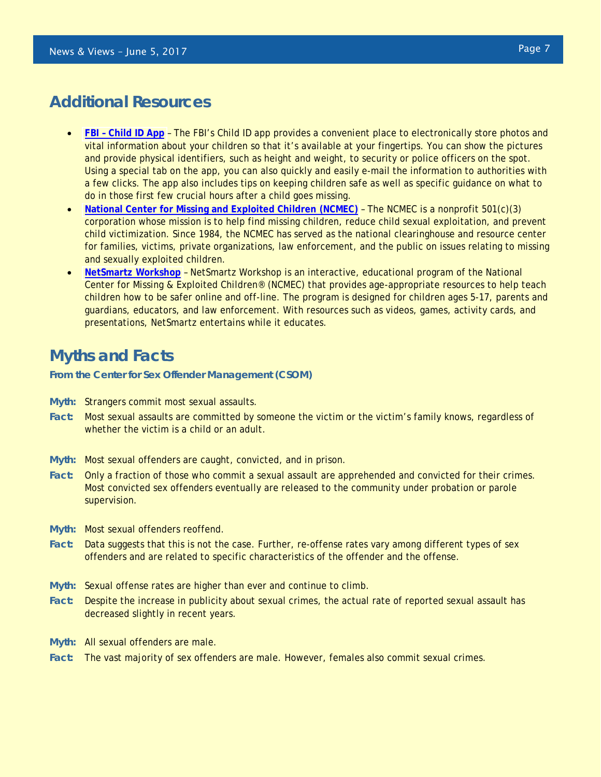## **Additional Resources**

- **FBI – [Child ID App](https://www.fbi.gov/news/stories/child_080511)** The FBI's Child ID app provides a convenient place to electronically store photos and vital information about your children so that it's available at your fingertips. You can show the pictures and provide physical identifiers, such as height and weight, to security or police officers on the spot. Using a special tab on the app, you can also quickly and easily e-mail the information to authorities with a few clicks. The app also includes tips on keeping children safe as well as specific guidance on what to do in those first few crucial hours after a child goes missing.
- **[National Center for Missing and Exploited Children](http://www.missingkids.com/About) (NCMEC)** The NCMEC is a nonprofit 501(c)(3) corporation whose mission is to help find missing children, reduce child sexual exploitation, and prevent child victimization. Since 1984, the NCMEC has served as the national clearinghouse and resource center for families, victims, private organizations, law enforcement, and the public on issues relating to missing and sexually exploited children.
- **[NetSmartz Workshop](https://www.netsmartz.org/Parents)** NetSmartz Workshop is an interactive, educational program of the National Center for Missing & Exploited Children® (NCMEC) that provides age-appropriate resources to help teach children how to be safer online and off-line. The program is designed for children ages 5-17, parents and guardians, educators, and law enforcement. With resources such as videos, games, activity cards, and presentations, NetSmartz entertains while it educates.

# **Myths and Facts**

**From the Center for Sex Offender Management (CSOM)**

- **Myth:** Strangers commit most sexual assaults.
- **Fact:** Most sexual assaults are committed by someone the victim or the victim's family knows, regardless of whether the victim is a child or an adult.
- **Myth:** Most sexual offenders are caught, convicted, and in prison.
- **Fact:** Only a fraction of those who commit a sexual assault are apprehended and convicted for their crimes. Most convicted sex offenders eventually are released to the community under probation or parole supervision.
- **Myth:** Most sexual offenders reoffend.
- **Fact:** Data suggests that this is not the case. Further, re-offense rates vary among different types of sex offenders and are related to specific characteristics of the offender and the offense.
- **Myth:** Sexual offense rates are higher than ever and continue to climb.
- **Fact:** Despite the increase in publicity about sexual crimes, the actual rate of reported sexual assault has decreased slightly in recent years.
- **Myth:** All sexual offenders are male.
- **Fact:** The vast majority of sex offenders are male. However, females also commit sexual crimes.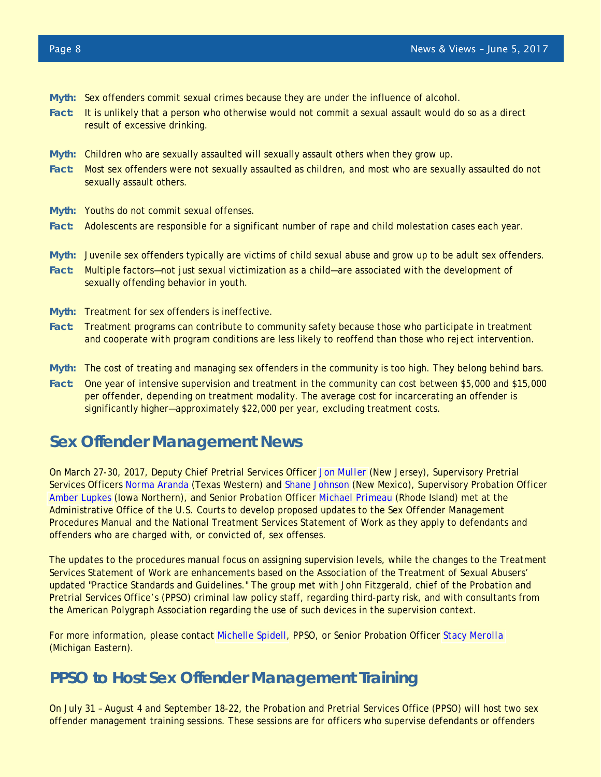- **Myth:** Sex offenders commit sexual crimes because they are under the influence of alcohol.
- **Fact:** It is unlikely that a person who otherwise would not commit a sexual assault would do so as a direct result of excessive drinking.
- **Myth:** Children who are sexually assaulted will sexually assault others when they grow up.
- **Fact:** Most sex offenders were not sexually assaulted as children, and most who are sexually assaulted do not sexually assault others.
- **Myth:** Youths do not commit sexual offenses.
- **Fact:** Adolescents are responsible for a significant number of rape and child molestation cases each year.
- **Myth:** Juvenile sex offenders typically are victims of child sexual abuse and grow up to be adult sex offenders.
- **Fact:** Multiple factors—not just sexual victimization as a child—are associated with the development of sexually offending behavior in youth.
- **Myth:** Treatment for sex offenders is ineffective.
- **Fact:** Treatment programs can contribute to community safety because those who participate in treatment and cooperate with program conditions are less likely to reoffend than those who reject intervention.
- **Myth:** The cost of treating and managing sex offenders in the community is too high. They belong behind bars.
- **Fact:** One year of intensive supervision and treatment in the community can cost between \$5,000 and \$15,000 per offender, depending on treatment modality. The average cost for incarcerating an offender is significantly higher—approximately \$22,000 per year, excluding treatment costs.

## **Sex Offender Management News**

On March 27-30, 2017, Deputy Chief Pretrial Services Officer *[Jon Muller](https://infoweb.ao.dcn/directory.fwx?mode=photo&userrefno=33342&execcas=D03NJXS&time=51159&jnet=)* (New Jersey), Supervisory Pretrial Services Officers *[Norma Aranda](https://infoweb.ao.dcn/directory.fwx?mode=photo&userrefno=31712&execcas=D05TXWS&time=51467&jnet=)* (Texas Western) and *[Shane Johnson](https://infoweb.ao.dcn/directory.fwx?mode=photo&userrefno=30469&execcas=D10NMXP&time=51271&jnet=)* (New Mexico), Supervisory Probation Officer *[Amber Lupkes](https://infoweb.ao.dcn/directory.fwx?mode=photo&userrefno=79808&execcas=D08IANP&time=51321&jnet=)* (Iowa Northern), and Senior Probation Officer *[Michael Primeau](https://infoweb.ao.dcn/directory.fwx?mode=photo&userrefno=111623&execcas=D01RIXP&time=55855&jnet=)* (Rhode Island) met at the Administrative Office of the U.S. Courts to develop proposed updates to the *Sex Offender Management Procedures Manual* and the National Treatment Services Statement of Work as they apply to defendants and offenders who are charged with, or convicted of, sex offenses.

The updates to the procedures manual focus on assigning supervision levels, while the changes to the Treatment Services Statement of Work are enhancements based on the Association of the Treatment of Sexual Abusers' updated "Practice Standards and Guidelines." The group met with John Fitzgerald, chief of the Probation and Pretrial Services Office's (PPSO) criminal law policy staff, regarding third-party risk, and with consultants from the American Polygraph Association regarding the use of such devices in the supervision context.

For more information, please contact [Michelle Spidell,](https://infoweb.ao.dcn/directory.fwx?mode=photo&userrefno=84763&execcas=OPPPPAX&time=31202&jnet=) PPSO, or Senior Probation Officer *[Stacy Merolla](https://infoweb.ao.dcn/directory.fwx?mode=photo&userrefno=36078&execcas=D06MIEP&time=31344&jnet=)* (Michigan Eastern).

# **PPSO to Host Sex Offender Management Training**

On July 31 – August 4 and September 18-22, the Probation and Pretrial Services Office (PPSO) will host two sex offender management training sessions. These sessions are for officers who supervise defendants or offenders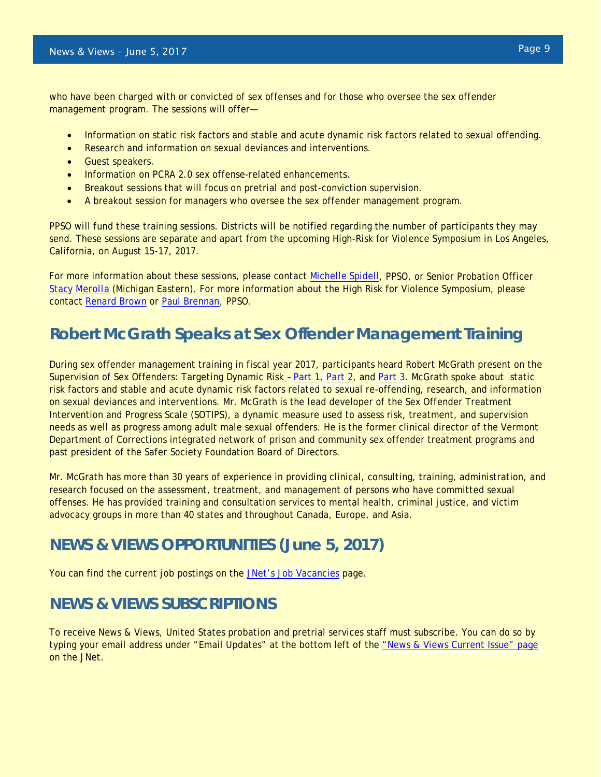who have been charged with or convicted of sex offenses and for those who oversee the sex offender management program. The sessions will offer—

- Information on static risk factors and stable and acute dynamic risk factors related to sexual offending.
- Research and information on sexual deviances and interventions.
- Guest speakers.
- Information on PCRA 2.0 sex offense-related enhancements.
- Breakout sessions that will focus on pretrial and post-conviction supervision.
- A breakout session for managers who oversee the sex offender management program.

PPSO will fund these training sessions. Districts will be notified regarding the number of participants they may send. These sessions are separate and apart from the upcoming High-Risk for Violence Symposium in Los Angeles, California, on August 15-17, 2017.

For more information about these sessions, please contact [Michelle Spidell,](https://infoweb.ao.dcn/directory.fwx?mode=photo&userrefno=84763&execcas=OPPPPAX&time=38191&jnet=) PPSO, or Senior Probation Officer *[Stacy Merolla](https://infoweb.ao.dcn/directory.fwx?mode=photo&userrefno=36078&execcas=D06MIEP&time=38219&jnet=)* (Michigan Eastern). For more information about the High Risk for Violence Symposium, please contact [Renard Brown](https://infoweb.ao.dcn/directory.fwx?mode=photo&userrefno=167813&execcas=OPPPPNX&time=38243&jnet=) or [Paul Brennan,](https://infoweb.ao.dcn/directory.fwx?mode=photo&userrefno=158291&execcas=OPPPPAX&time=38264&jnet=) PPSO.

# **Robert McGrath Speaks at Sex Offender Management Training**

During sex offender management training in fiscal year 2017, participants heard Robert McGrath present on the Supervision of Sex Offenders: Targeting Dynamic Risk - [Part 1,](http://jnet.ao.dcn/court-services/probation-pretrial-services/supervision-sex-offenders-targeting-dynamic-risk-factors-part-1) [Part 2,](http://jnet.ao.dcn/court-services/probation-pretrial-services/supervision-sex-offenders-targeting-dynamic-risk-factors-part-2) and [Part 3.](http://jnet.ao.dcn/court-services/probation-pretrial-services/supervision-sex-offenders-targeting-dynamic-risk-factors-part-3) McGrath spoke about static risk factors and stable and acute dynamic risk factors related to sexual re-offending, research, and information on sexual deviances and interventions. Mr. McGrath is the lead developer of the Sex Offender Treatment Intervention and Progress Scale (SOTIPS), a dynamic measure used to assess risk, treatment, and supervision needs as well as progress among adult male sexual offenders. He is the former clinical director of the Vermont Department of Corrections integrated network of prison and community sex offender treatment programs and past president of the Safer Society Foundation Board of Directors.

Mr. McGrath has more than 30 years of experience in providing clinical, consulting, training, administration, and research focused on the assessment, treatment, and management of persons who have committed sexual offenses. He has provided training and consultation services to mental health, criminal justice, and victim advocacy groups in more than 40 states and throughout Canada, Europe, and Asia.

# *NEWS & VIEWS* **OPPORTUNITIES (June 5, 2017)**

You can find the current job postings on the [JNet's Job Vacancies](http://jnet.ao.dcn/human-resources/careers) page.

## *NEWS & VIEWS* **SUBSCRIPTIONS**

To receive *News & Views*, United States probation and pretrial services staff must subscribe. You can do so by typing your email address under "Email Updates" at the bottom left of the ["News & Views Current Issue"](http://jnet.ao.dcn/court-services/probation-pretrial-services/news-views) page on the JNet.